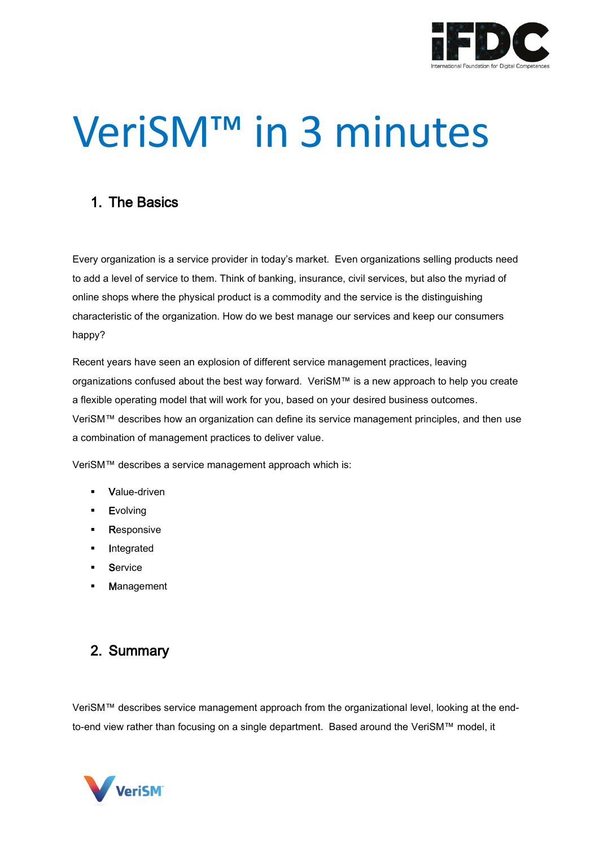

# VeriSM™ in 3 minutes

## 1. The Basics

Every organization is a service provider in today's market. Even organizations selling products need to add a level of service to them. Think of banking, insurance, civil services, but also the myriad of online shops where the physical product is a commodity and the service is the distinguishing characteristic of the organization. How do we best manage our services and keep our consumers happy?

Recent years have seen an explosion of different service management practices, leaving organizations confused about the best way forward. VeriSM™ is a new approach to help you create a flexible operating model that will work for you, based on your desired business outcomes. VeriSM™ describes how an organization can define its service management principles, and then use a combination of management practices to deliver value.

VeriSM™ describes a service management approach which is:

- Value-driven
- **Evolving**
- **Responsive**
- Integrated
- **Service**
- Management

### 2. Summary

VeriSM™ describes service management approach from the organizational level, looking at the endto-end view rather than focusing on a single department. Based around the VeriSM™ model, it

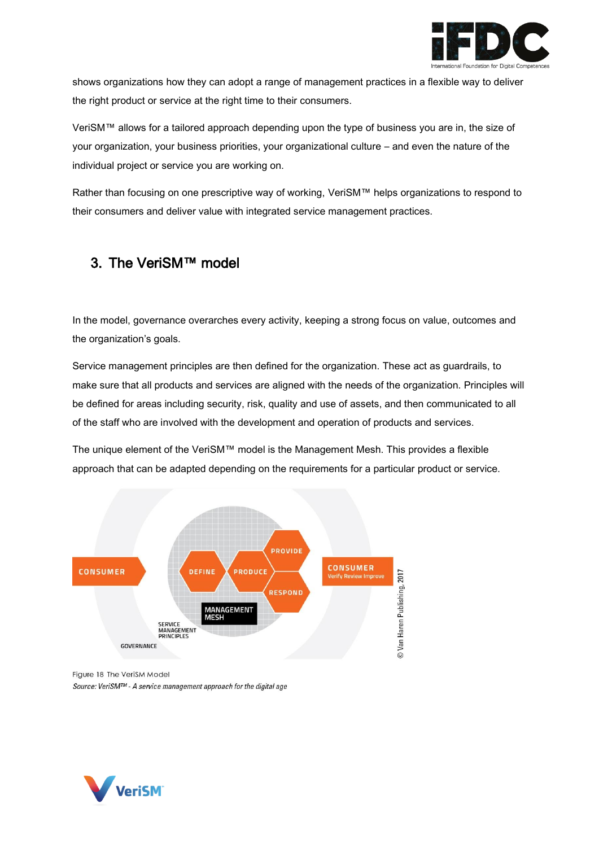

shows organizations how they can adopt a range of management practices in a flexible way to deliver the right product or service at the right time to their consumers.

VeriSM™ allows for a tailored approach depending upon the type of business you are in, the size of your organization, your business priorities, your organizational culture – and even the nature of the individual project or service you are working on.

Rather than focusing on one prescriptive way of working, VeriSM™ helps organizations to respond to their consumers and deliver value with integrated service management practices.

# 3. The VeriSM™ model

In the model, governance overarches every activity, keeping a strong focus on value, outcomes and the organization's goals.

Service management principles are then defined for the organization. These act as guardrails, to make sure that all products and services are aligned with the needs of the organization. Principles will be defined for areas including security, risk, quality and use of assets, and then communicated to all of the staff who are involved with the development and operation of products and services.

The unique element of the VeriSM™ model is the Management Mesh. This provides a flexible approach that can be adapted depending on the requirements for a particular product or service.



Figure 18 The VeriSM Model Source: VeriSM™ - A service management approach for the digital age

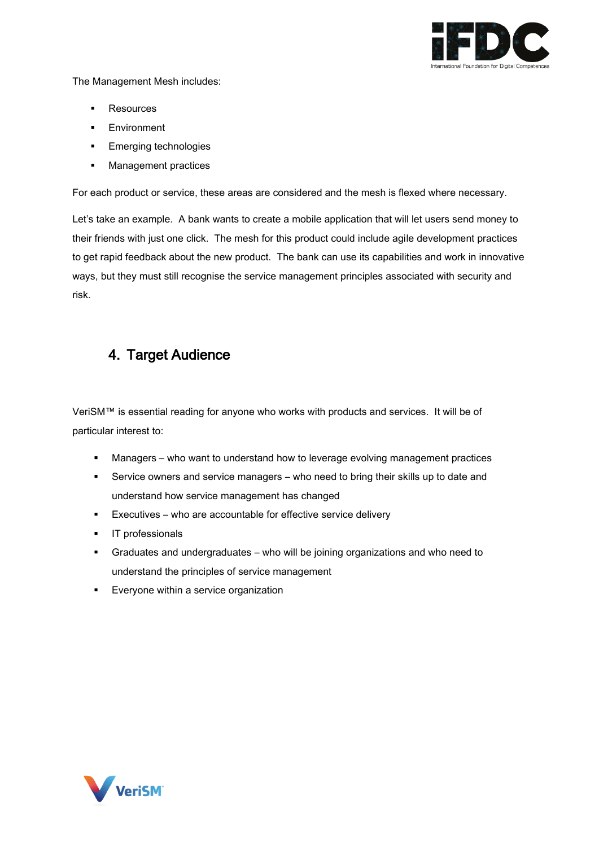

The Management Mesh includes:

- Resources
- **Environment**
- Emerging technologies
- Management practices

For each product or service, these areas are considered and the mesh is flexed where necessary.

Let's take an example. A bank wants to create a mobile application that will let users send money to their friends with just one click. The mesh for this product could include agile development practices to get rapid feedback about the new product. The bank can use its capabilities and work in innovative ways, but they must still recognise the service management principles associated with security and risk.

#### 4. Target Audience

VeriSM™ is essential reading for anyone who works with products and services. It will be of particular interest to:

- Managers who want to understand how to leverage evolving management practices
- **EXECT** Service owners and service managers who need to bring their skills up to date and understand how service management has changed
- Executives who are accountable for effective service delivery
- **·** IT professionals
- Graduates and undergraduates who will be joining organizations and who need to understand the principles of service management
- Everyone within a service organization